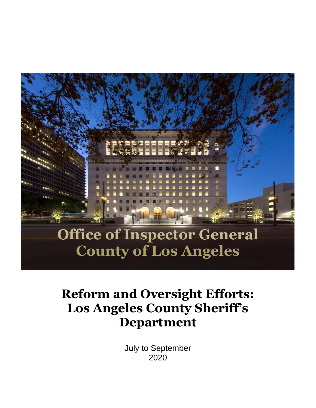

# **Reform and Oversight Efforts: Los Angeles County Sheriff's Department**

July to September 2020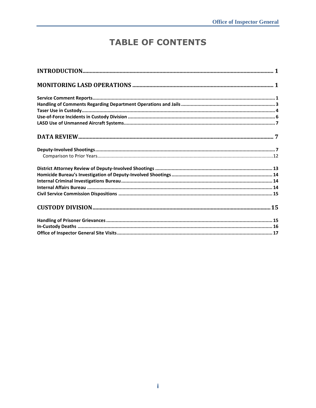# **TABLE OF CONTENTS**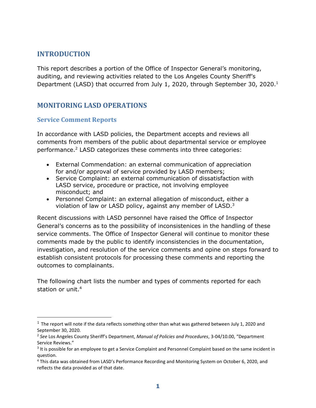# <span id="page-2-0"></span>**INTRODUCTION**

This report describes a portion of the Office of Inspector General's monitoring, auditing, and reviewing activities related to the Los Angeles County Sheriff's Department (LASD) that occurred from July 1, 2020, through September 30, 2020.<sup>1</sup>

# <span id="page-2-1"></span>**MONITORING LASD OPERATIONS**

#### <span id="page-2-2"></span>**Service Comment Reports**

In accordance with LASD policies, the Department accepts and reviews all comments from members of the public about departmental service or employee performance.<sup>2</sup> LASD categorizes these comments into three categories:

- External Commendation: an external communication of appreciation for and/or approval of service provided by LASD members;
- Service Complaint: an external communication of dissatisfaction with LASD service, procedure or practice, not involving employee misconduct; and
- Personnel Complaint: an external allegation of misconduct, either a violation of law or LASD policy, against any member of LASD.<sup>3</sup>

Recent discussions with LASD personnel have raised the Office of Inspector General's concerns as to the possibility of inconsistenices in the handling of these service comments. The Office of Inspector General will continue to monitor these comments made by the public to identify inconsistencies in the documentation, investigation, and resolution of the service comments and opine on steps forward to establish consistent protocols for processing these comments and reporting the outcomes to complainants.

The following chart lists the number and types of comments reported for each station or unit. 4

 $1$  The report will note if the data reflects something other than what was gathered between July 1, 2020 and September 30, 2020.

<sup>2</sup> *See* Los Angeles County Sheriff's Department, *Manual of Policies and Procedures*, 3-04/10.00, "Department Service Reviews."

 $3$  It is possible for an employee to get a Service Complaint and Personnel Complaint based on the same incident in question.

<sup>4</sup> This data was obtained from LASD's Performance Recording and Monitoring System on October 6, 2020, and reflects the data provided as of that date.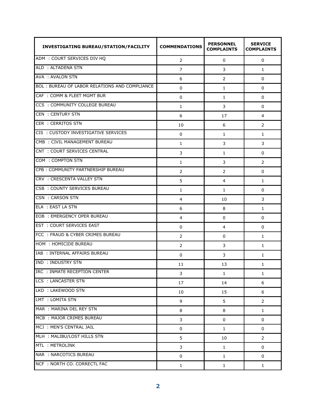| <b>INVESTIGATING BUREAU/STATION/FACILITY</b>  | <b>COMMENDATIONS</b> | <b>PERSONNEL</b><br><b>COMPLAINTS</b> | <b>SERVICE</b><br><b>COMPLAINTS</b> |
|-----------------------------------------------|----------------------|---------------------------------------|-------------------------------------|
| ADM : COURT SERVICES DIV HQ                   | 2                    | 0                                     | 0                                   |
| ALD : ALTADENA STN                            | 7                    | 3                                     | 1                                   |
| AVA : AVALON STN                              | 6                    | 2                                     | 0                                   |
| BOL: BUREAU OF LABOR RELATIONS AND COMPLIANCE | 0                    | 1                                     | 0                                   |
| CAF: COMM & FLEET MGMT BUR                    | 0                    | 1                                     | 0                                   |
| CCS: COMMUNITY COLLEGE BUREAU                 | 1                    | 3                                     | 0                                   |
| <b>CEN : CENTURY STN</b>                      | 6                    | 17                                    | 4                                   |
| <b>CER : CERRITOS STN</b>                     | 10                   | 6                                     | $\overline{2}$                      |
| CIS : CUSTODY INVESTIGATIVE SERVICES          | 0                    | 1                                     | 1                                   |
| CMB : CIVIL MANAGEMENT BUREAU                 | 1                    | 3                                     | 3                                   |
| CNT : COURT SERVICES CENTRAL                  | 3                    | 1                                     | 0                                   |
| COM : COMPTON STN                             | 1                    | 3                                     | $\overline{2}$                      |
| CPB: COMMUNITY PARTNERSHIP BUREAU             | 2                    | 2                                     | 0                                   |
| CRV : CRESCENTA VALLEY STN                    | 5                    | 4                                     | 1                                   |
| CSB: COUNTY SERVICES BUREAU                   | 1                    | 1                                     | 0                                   |
| CSN : CARSON STN                              | 4                    | 10                                    | 3                                   |
| ELA : EAST LA STN                             | 6                    | 8                                     | $\mathbf{1}$                        |
| <b>EOB: EMERGENCY OPER BUREAU</b>             | 4                    | 0                                     | 0                                   |
| <b>EST : COURT SERVICES EAST</b>              | 0                    | 4                                     | 0                                   |
| FCC: FRAUD & CYBER CRIMES BUREAU              | 2                    | 0                                     | $\mathbf{1}$                        |
| HOM : HOMICIDE BUREAU                         | 2                    | 3                                     | $\mathbf{1}$                        |
| IAB : INTERNAL AFFAIRS BUREAU                 | 0                    | 3                                     | $\mathbf{1}$                        |
| IND : INDUSTRY STN                            | 11                   | 13                                    | $\mathbf{1}$                        |
| IRC : INMATE RECEPTION CENTER                 | 3                    | $\mathbf{1}$                          | $\mathbf{1}$                        |
| LCS : LANCASTER STN                           | 17                   | 14                                    | 6                                   |
| LKD : LAKEWOOD STN                            | 10                   | 15                                    | 6                                   |
| LMT : LOMITA STN                              | 9                    | 5                                     | $\overline{2}$                      |
| MAR : MARINA DEL REY STN                      | 8                    | 8                                     | $\mathbf{1}$                        |
| MCB : MAJOR CRIMES BUREAU                     | 3                    | 0                                     | 0                                   |
| MCJ : MEN'S CENTRAL JAIL                      | 0                    | $\mathbf{1}$                          | 0                                   |
| MLH : MALIBU/LOST HILLS STN                   | 5                    | 10                                    | $\overline{2}$                      |
| MTL : METROLINK                               | 3                    | $\mathbf{1}$                          | 0                                   |
| NAR : NARCOTICS BUREAU                        | 0                    | $\mathbf{1}$                          | 0                                   |
| NCF : NORTH CO. CORRECTL FAC                  | $\mathbf{1}$         | $\mathbf{1}$                          | 1                                   |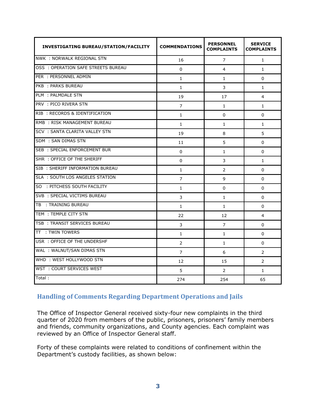| <b>INVESTIGATING BUREAU/STATION/FACILITY</b> | <b>COMMENDATIONS</b> | <b>PERSONNEL</b><br><b>COMPLAINTS</b> | <b>SERVICE</b><br><b>COMPLAINTS</b> |
|----------------------------------------------|----------------------|---------------------------------------|-------------------------------------|
| NWK : NORWALK REGIONAL STN                   | 16                   | $\overline{7}$                        | $\mathbf{1}$                        |
| OSS : OPERATION SAFE STREETS BUREAU          | $\Omega$             | 4                                     | $\mathbf{1}$                        |
| PER : PERSONNEL ADMIN                        | $\mathbf{1}$         | $\mathbf{1}$                          | $\Omega$                            |
| PKB: PARKS BUREAU                            | $\mathbf{1}$         | 3                                     | $\mathbf{1}$                        |
| PLM : PALMDALE STN                           | 19                   | 17                                    | $\overline{4}$                      |
| PRV : PICO RIVERA STN                        | 7                    | $\mathbf{1}$                          | $\mathbf{1}$                        |
| RIB: RECORDS & IDENTIFICATION                | 1                    | $\Omega$                              | $\Omega$                            |
| RMB : RISK MANAGEMENT BUREAU                 | 1                    | 1                                     | 1                                   |
| SCV : SANTA CLARITA VALLEY STN               | 19                   | 8                                     | 5                                   |
| SDM : SAN DIMAS STN                          | 11                   | 5                                     | $\Omega$                            |
| <b>SEB : SPECIAL ENFORCEMENT BUR</b>         | 0                    | $\mathbf{1}$                          | 0                                   |
| SHR : OFFICE OF THE SHERIFF                  | 0                    | 3                                     | 1                                   |
| SIB: SHERIFF INFORMATION BUREAU              | $\mathbf{1}$         | 2                                     | 0                                   |
| SLA : SOUTH LOS ANGELES STATION              | 7                    | 9                                     | $\Omega$                            |
| SO : PITCHESS SOUTH FACILITY                 | $\mathbf{1}$         | $\Omega$                              | $\Omega$                            |
| SVB : SPECIAL VICTIMS BUREAU                 | 3                    | $\mathbf{1}$                          | $\Omega$                            |
| TB : TRAINING BUREAU                         | $\mathbf{1}$         | $\mathbf{1}$                          | $\Omega$                            |
| TEM : TEMPLE CITY STN                        | 22                   | 12                                    | $\overline{4}$                      |
| TSB: TRANSIT SERVICES BUREAU                 | 3                    | $\overline{7}$                        | $\Omega$                            |
| TT: TWIN TOWERS                              | 1                    | $\mathbf{1}$                          | 0                                   |
| USR : OFFICE OF THE UNDERSHF                 | 2                    | 1                                     | 0                                   |
| WAL : WALNUT/SAN DIMAS STN                   | 7                    | 6                                     | 2                                   |
| WHD : WEST HOLLYWOOD STN                     | 12                   | 15                                    | $\overline{2}$                      |
| WST : COURT SERVICES WEST                    | 5                    | 2                                     | $\mathbf{1}$                        |
| Total:                                       | 274                  | 254                                   | 65                                  |

#### <span id="page-4-0"></span>**Handling of Comments Regarding Department Operations and Jails**

The Office of Inspector General received sixty-four new complaints in the third quarter of 2020 from members of the public, prisoners, prisoners' family members and friends, community organizations, and County agencies. Each complaint was reviewed by an Office of Inspector General staff.

Forty of these complaints were related to conditions of confinement within the Department's custody facilities, as shown below: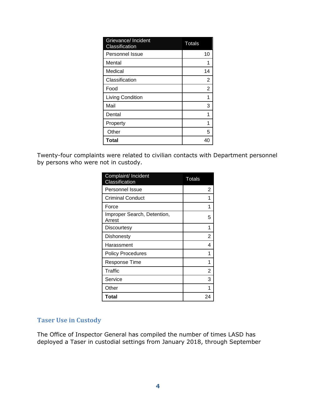| Grievance/ Incident<br>Classification | <b>Totals</b>  |
|---------------------------------------|----------------|
| <b>Personnel Issue</b>                | 10             |
| Mental                                |                |
| Medical                               | 14             |
| Classification                        | 2              |
| Food                                  | $\overline{2}$ |
| Living Condition                      |                |
| Mail                                  | 3              |
| Dental                                |                |
| Property                              |                |
| Other                                 | 5              |
| Total                                 |                |

Twenty-four complaints were related to civilian contacts with Department personnel by persons who were not in custody.

| Complaint/ Incident<br><b>Classification</b> | <b>Totals</b> |
|----------------------------------------------|---------------|
| <b>Personnel Issue</b>                       | 2             |
| <b>Criminal Conduct</b>                      | 1             |
| Force                                        | 1             |
| Improper Search, Detention,<br>Arrest        | 5             |
| Discourtesy                                  | 1             |
| <b>Dishonesty</b>                            | 2             |
| Harassment                                   | 4             |
| <b>Policy Procedures</b>                     | 1             |
| Response Time                                | 1             |
| Traffic                                      | 2             |
| Service                                      | 3             |
| Other                                        |               |
| Total                                        | 24            |

#### <span id="page-5-0"></span>**Taser Use in Custody**

The Office of Inspector General has compiled the number of times LASD has deployed a Taser in custodial settings from January 2018, through September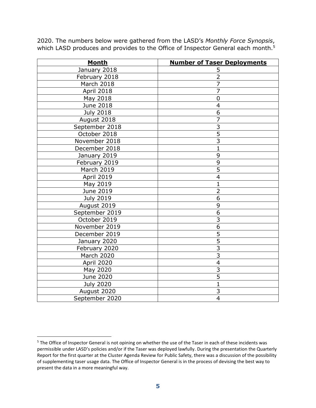| <b>Month</b>     | <b>Number of Taser Deployments</b> |
|------------------|------------------------------------|
| January 2018     | 5                                  |
| February 2018    | $\overline{2}$                     |
| March 2018       | $\overline{7}$                     |
| April 2018       | $\overline{7}$                     |
| May 2018         | $\mathbf 0$                        |
| June 2018        | $\overline{4}$                     |
| <b>July 2018</b> | 6                                  |
| August 2018      | $\overline{7}$                     |
| September 2018   | 3                                  |
| October 2018     | $\overline{5}$                     |
| November 2018    | $\overline{3}$                     |
| December 2018    | $\mathbf{1}$                       |
| January 2019     | 9                                  |
| February 2019    | 9                                  |
| March 2019       | $\overline{5}$                     |
| April 2019       | $\overline{4}$                     |
| May 2019         | $\overline{1}$                     |
| June 2019        | $\overline{2}$                     |
| <b>July 2019</b> | 6                                  |
| August 2019      | 9                                  |
| September 2019   | 6                                  |
| October 2019     | 3                                  |
| November 2019    | 6                                  |
| December 2019    | 5                                  |
| January 2020     | $\overline{5}$                     |
| February 2020    | $\overline{3}$                     |
| March 2020       | $\overline{3}$                     |
| April 2020       | $\overline{4}$                     |
| May 2020         | 3                                  |
| June 2020        | $\overline{5}$                     |
| <b>July 2020</b> | $\overline{1}$                     |
| August 2020      | 3                                  |
| September 2020   | $\overline{4}$                     |

2020. The numbers below were gathered from the LASD's *Monthly Force Synopsis*, which LASD produces and provides to the Office of Inspector General each month.<sup>5</sup>

<sup>&</sup>lt;sup>5</sup> The Office of Inspector General is not opining on whether the use of the Taser in each of these incidents was permissible under LASD's policies and/or if the Taser was deployed lawfully. During the presentation the Quarterly Report for the first quarter at the Cluster Agenda Review for Public Safety, there was a discussion of the possibility of supplementing taser usage data. The Office of Inspector General is in the process of devising the best way to present the data in a more meaningful way.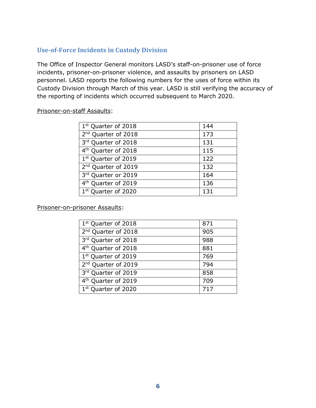# <span id="page-7-0"></span>**Use-of-Force Incidents in Custody Division**

The Office of Inspector General monitors LASD's staff-on-prisoner use of force incidents, prisoner-on-prisoner violence, and assaults by prisoners on LASD personnel. LASD reports the following numbers for the uses of force within its Custody Division through March of this year. LASD is still verifying the accuracy of the reporting of incidents which occurred subsequent to March 2020.

#### Prisoner-on-staff Assaults:

| 1st Quarter of 2018             | 144 |
|---------------------------------|-----|
| 2 <sup>nd</sup> Quarter of 2018 | 173 |
| 3rd Quarter of 2018             | 131 |
| 4 <sup>th</sup> Quarter of 2018 | 115 |
| 1st Quarter of 2019             | 122 |
| 2 <sup>nd</sup> Quarter of 2019 | 132 |
| 3rd Quarter or 2019             | 164 |
| 4 <sup>th</sup> Quarter of 2019 | 136 |
| 1st Quarter of 2020             | 131 |
|                                 |     |

Prisoner-on-prisoner Assaults:

| 871 |
|-----|
| 905 |
| 988 |
| 881 |
| 769 |
| 794 |
| 858 |
| 709 |
|     |
|     |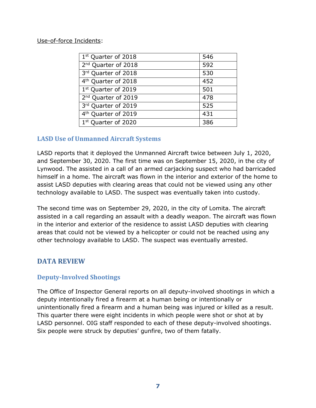#### Use-of-force Incidents:

| 1 <sup>st</sup> Quarter of 2018 | 546 |
|---------------------------------|-----|
| 2 <sup>nd</sup> Quarter of 2018 | 592 |
| 3rd Quarter of 2018             | 530 |
| 4 <sup>th</sup> Quarter of 2018 | 452 |
| 1st Quarter of 2019             | 501 |
| 2 <sup>nd</sup> Quarter of 2019 | 478 |
| 3rd Quarter of 2019             | 525 |
| 4 <sup>th</sup> Quarter of 2019 | 431 |
| 1 <sup>st</sup> Quarter of 2020 | 386 |

#### <span id="page-8-0"></span>**LASD Use of Unmanned Aircraft Systems**

LASD reports that it deployed the Unmanned Aircraft twice between July 1, 2020, and September 30, 2020. The first time was on September 15, 2020, in the city of Lynwood. The assisted in a call of an armed carjacking suspect who had barricaded himself in a home. The aircraft was flown in the interior and exterior of the home to assist LASD deputies with clearing areas that could not be viewed using any other technology available to LASD. The suspect was eventually taken into custody.

The second time was on September 29, 2020, in the city of Lomita. The aircraft assisted in a call regarding an assault with a deadly weapon. The aircraft was flown in the interior and exterior of the residence to assist LASD deputies with clearing areas that could not be viewed by a helicopter or could not be reached using any other technology available to LASD. The suspect was eventually arrested.

# <span id="page-8-1"></span>**DATA REVIEW**

# <span id="page-8-2"></span>**Deputy-Involved Shootings**

The Office of Inspector General reports on all deputy-involved shootings in which a deputy intentionally fired a firearm at a human being or intentionally or unintentionally fired a firearm and a human being was injured or killed as a result. This quarter there were eight incidents in which people were shot or shot at by LASD personnel. OIG staff responded to each of these deputy-involved shootings. Six people were struck by deputies' gunfire, two of them fatally.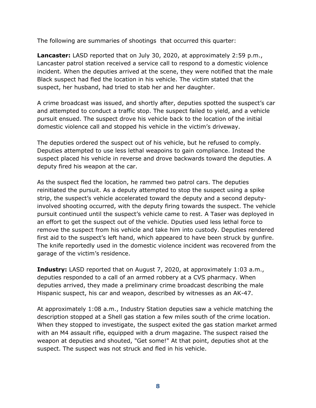The following are summaries of shootings that occurred this quarter:

**Lancaster:** LASD reported that on July 30, 2020, at approximately 2:59 p.m., Lancaster patrol station received a service call to respond to a domestic violence incident. When the deputies arrived at the scene, they were notified that the male Black suspect had fled the location in his vehicle. The victim stated that the suspect, her husband, had tried to stab her and her daughter.

A crime broadcast was issued, and shortly after, deputies spotted the suspect's car and attempted to conduct a traffic stop. The suspect failed to yield, and a vehicle pursuit ensued. The suspect drove his vehicle back to the location of the initial domestic violence call and stopped his vehicle in the victim's driveway.

The deputies ordered the suspect out of his vehicle, but he refused to comply. Deputies attempted to use less lethal weapoins to gain compliance. Instead the suspect placed his vehicle in reverse and drove backwards toward the deputies. A deputy fired his weapon at the car.

As the suspect fled the location, he rammed two patrol cars. The deputies reinitiated the pursuit. As a deputy attempted to stop the suspect using a spike strip, the suspect's vehicle accelerated toward the deputy and a second deputyinvolved shooting occurred, with the deputy firing towards the suspect. The vehicle pursuit continued until the suspect's vehicle came to rest. A Taser was deployed in an effort to get the suspect out of the vehicle. Dputies used less lethal force to remove the suspect from his vehicle and take him into custody. Deputies rendered first aid to the suspect's left hand, which appeared to have been struck by gunfire. The knife reportedly used in the domestic violence incident was recovered from the garage of the victim's residence.

**Industry:** LASD reported that on August 7, 2020, at approximately 1:03 a.m., deputies responded to a call of an armed robbery at a CVS pharmacy. When deputies arrived, they made a preliminary crime broadcast describing the male Hispanic suspect, his car and weapon, described by witnesses as an AK-47.

At approximately 1:08 a.m., Industry Station deputies saw a vehicle matching the description stopped at a Shell gas station a few miles south of the crime location. When they stopped to investigate, the suspect exited the gas station market armed with an M4 assault rifle, equipped with a drum magazine. The suspect raised the weapon at deputies and shouted, "Get some!" At that point, deputies shot at the suspect. The suspect was not struck and fled in his vehicle.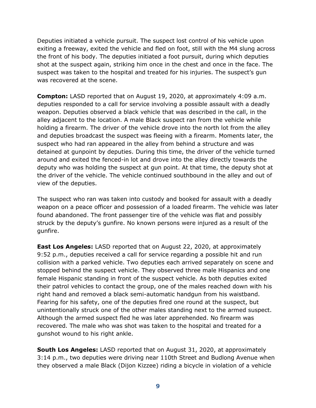Deputies initiated a vehicle pursuit. The suspect lost control of his vehicle upon exiting a freeway, exited the vehicle and fled on foot, still with the M4 slung across the front of his body. The deputies initiated a foot pursuit, during which deputies shot at the suspect again, striking him once in the chest and once in the face. The suspect was taken to the hospital and treated for his injuries. The suspect's gun was recovered at the scene.

**Compton:** LASD reported that on August 19, 2020, at approximately 4:09 a.m. deputies responded to a call for service involving a possible assault with a deadly weapon. Deputies observed a black vehicle that was described in the call, in the alley adjacent to the location. A male Black suspect ran from the vehicle while holding a firearm. The driver of the vehicle drove into the north lot from the alley and deputies broadcast the suspect was fleeing with a firearm. Moments later, the suspect who had ran appeared in the alley from behind a structure and was detained at gunpoint by deputies. During this time, the driver of the vehicle turned around and exited the fenced-in lot and drove into the alley directly towards the deputy who was holding the suspect at gun point. At that time, the deputy shot at the driver of the vehicle. The vehicle continued southbound in the alley and out of view of the deputies.

The suspect who ran was taken into custody and booked for assault with a deadly weapon on a peace officer and possession of a loaded firearm. The vehicle was later found abandoned. The front passenger tire of the vehicle was flat and possibly struck by the deputy's gunfire. No known persons were injured as a result of the gunfire.

**East Los Angeles:** LASD reported that on August 22, 2020, at approximately 9:52 p.m., deputies received a call for service regarding a possible hit and run collision with a parked vehicle. Two deputies each arrived separately on scene and stopped behind the suspect vehicle. They observed three male Hispanics and one female Hispanic standing in front of the suspect vehicle. As both deputies exited their patrol vehicles to contact the group, one of the males reached down with his right hand and removed a black semi-automatic handgun from his waistband. Fearing for his safety, one of the deputies fired one round at the suspect, but unintentionally struck one of the other males standing next to the armed suspect. Although the armed suspect fled he was later apprehended. No firearm was recovered. The male who was shot was taken to the hospital and treated for a gunshot wound to his right ankle.

**South Los Angeles:** LASD reported that on August 31, 2020, at approximately 3:14 p.m., two deputies were driving near 110th Street and Budlong Avenue when they observed a male Black (Dijon Kizzee) riding a bicycle in violation of a vehicle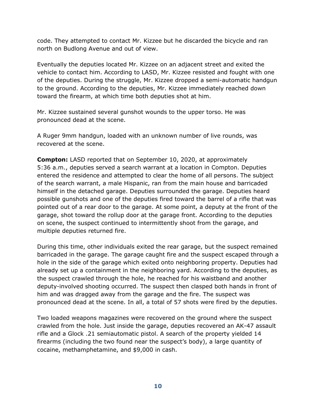code. They attempted to contact Mr. Kizzee but he discarded the bicycle and ran north on Budlong Avenue and out of view.

Eventually the deputies located Mr. Kizzee on an adjacent street and exited the vehicle to contact him. According to LASD, Mr. Kizzee resisted and fought with one of the deputies. During the struggle, Mr. Kizzee dropped a semi-automatic handgun to the ground. According to the deputies, Mr. Kizzee immediately reached down toward the firearm, at which time both deputies shot at him.

Mr. Kizzee sustained several gunshot wounds to the upper torso. He was pronounced dead at the scene.

A Ruger 9mm handgun, loaded with an unknown number of live rounds, was recovered at the scene.

**Compton:** LASD reported that on September 10, 2020, at approximately 5:36 a.m., deputies served a search warrant at a location in Compton. Deputies entered the residence and attempted to clear the home of all persons. The subject of the search warrant, a male Hispanic, ran from the main house and barricaded himself in the detached garage. Deputies surrounded the garage. Deputies heard possible gunshots and one of the deputies fired toward the barrel of a rifle that was pointed out of a rear door to the garage. At some point, a deputy at the front of the garage, shot toward the rollup door at the garage front. According to the deputies on scene, the suspect continued to intermittently shoot from the garage, and multiple deputies returned fire.

During this time, other individuals exited the rear garage, but the suspect remained barricaded in the garage. The garage caught fire and the suspect escaped through a hole in the side of the garage which exited onto neighboring property. Deputies had already set up a containment in the neighboring yard. According to the deputies, as the suspect crawled through the hole, he reached for his waistband and another deputy-involved shooting occurred. The suspect then clasped both hands in front of him and was dragged away from the garage and the fire. The suspect was pronounced dead at the scene. In all, a total of 57 shots were fired by the deputies.

Two loaded weapons magazines were recovered on the ground where the suspect crawled from the hole. Just inside the garage, deputies recovered an AK-47 assault rifle and a Glock .21 semiautomatic pistol. A search of the property yielded 14 firearms (including the two found near the suspect's body), a large quantity of cocaine, methamphetamine, and \$9,000 in cash.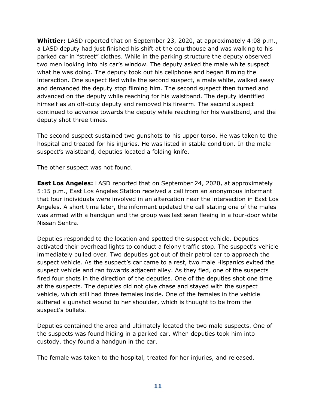**Whittier:** LASD reported that on September 23, 2020, at approximately 4:08 p.m., a LASD deputy had just finished his shift at the courthouse and was walking to his parked car in "street" clothes. While in the parking structure the deputy observed two men looking into his car's window. The deputy asked the male white suspect what he was doing. The deputy took out his cellphone and began filming the interaction. One suspect fled while the second suspect, a male white, walked away and demanded the deputy stop filming him. The second suspect then turned and advanced on the deputy while reaching for his waistband. The deputy identified himself as an off-duty deputy and removed his firearm. The second suspect continued to advance towards the deputy while reaching for his waistband, and the deputy shot three times.

The second suspect sustained two gunshots to his upper torso. He was taken to the hospital and treated for his injuries. He was listed in stable condition. In the male suspect's waistband, deputies located a folding knife.

The other suspect was not found.

**East Los Angeles:** LASD reported that on September 24, 2020, at approximately 5:15 p.m., East Los Angeles Station received a call from an anonymous informant that four individuals were involved in an altercation near the intersection in East Los Angeles. A short time later, the informant updated the call stating one of the males was armed with a handgun and the group was last seen fleeing in a four-door white Nissan Sentra.

Deputies responded to the location and spotted the suspect vehicle. Deputies activated their overhead lights to conduct a felony traffic stop. The suspect's vehicle immediately pulled over. Two deputies got out of their patrol car to approach the suspect vehicle. As the suspect's car came to a rest, two male Hispanics exited the suspect vehicle and ran towards adjacent alley. As they fled, one of the suspects fired four shots in the direction of the deputies. One of the deputies shot one time at the suspects. The deputies did not give chase and stayed with the suspect vehicle, which still had three females inside. One of the females in the vehicle suffered a gunshot wound to her shoulder, which is thought to be from the suspect's bullets.

Deputies contained the area and ultimately located the two male suspects. One of the suspects was found hiding in a parked car. When deputies took him into custody, they found a handgun in the car.

The female was taken to the hospital, treated for her injuries, and released.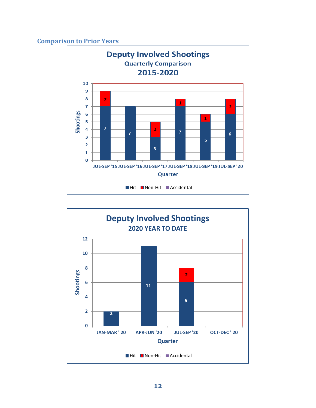#### <span id="page-13-0"></span>**Comparison to Prior Years**



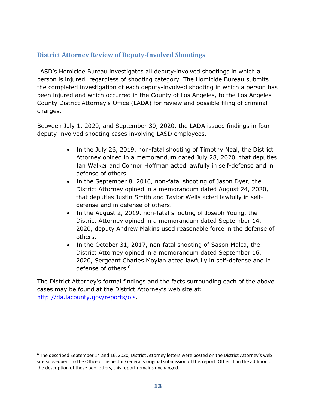# <span id="page-14-0"></span>**District Attorney Review of Deputy-Involved Shootings**

LASD's Homicide Bureau investigates all deputy-involved shootings in which a person is injured, regardless of shooting category. The Homicide Bureau submits the completed investigation of each deputy-involved shooting in which a person has been injured and which occurred in the County of Los Angeles, to the Los Angeles County District Attorney's Office (LADA) for review and possible filing of criminal charges.

Between July 1, 2020, and September 30, 2020, the LADA issued findings in four deputy-involved shooting cases involving LASD employees.

- In the July 26, 2019, non-fatal shooting of Timothy Neal, the District Attorney opined in a memorandum dated July 28, 2020, that deputies Ian Walker and Connor Hoffman acted lawfully in self-defense and in defense of others.
- In the September 8, 2016, non-fatal shooting of Jason Dyer, the District Attorney opined in a memorandum dated August 24, 2020, that deputies Justin Smith and Taylor Wells acted lawfully in selfdefense and in defense of others.
- In the August 2, 2019, non-fatal shooting of Joseph Young, the District Attorney opined in a memorandum dated September 14, 2020, deputy Andrew Makins used reasonable force in the defense of others.
- In the October 31, 2017, non-fatal shooting of Sason Malca, the District Attorney opined in a memorandum dated September 16, 2020, Sergeant Charles Moylan acted lawfully in self-defense and in defense of others.<sup>6</sup>

The District Attorney's formal findings and the facts surrounding each of the above cases may be found at the District Attorney's web site at: [http://da.lacounty.gov/reports/ois.](http://da.lacounty.gov/reports/ois)

<sup>6</sup> The described September 14 and 16, 2020, District Attorney letters were posted on the District Attorney's web site subsequent to the Office of Inspector General's original submission of this report. Other than the addition of the description of these two letters, this report remains unchanged.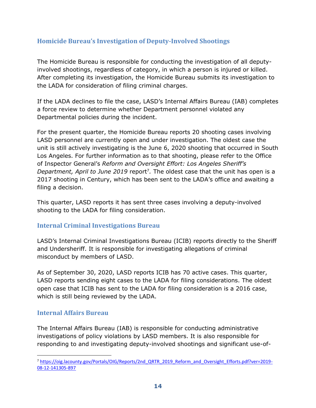# <span id="page-15-0"></span>**Homicide Bureau's Investigation of Deputy-Involved Shootings**

The Homicide Bureau is responsible for conducting the investigation of all deputyinvolved shootings, regardless of category, in which a person is injured or killed. After completing its investigation, the Homicide Bureau submits its investigation to the LADA for consideration of filing criminal charges.

If the LADA declines to file the case, LASD's Internal Affairs Bureau (IAB) completes a force review to determine whether Department personnel violated any Departmental policies during the incident.

For the present quarter, the Homicide Bureau reports 20 shooting cases involving LASD personnel are currently open and under investigation. The oldest case the unit is still actively investigating is the June 6, 2020 shooting that occurred in South Los Angeles. For further information as to that shooting, please refer to the Office of Inspector General's *Reform and Oversight Effort: Los Angeles Sheriff's*  Department, April to June 2019 report<sup>7</sup>. The oldest case that the unit has open is a 2017 shooting in Century, which has been sent to the LADA's office and awaiting a filing a decision.

This quarter, LASD reports it has sent three cases involving a deputy-involved shooting to the LADA for filing consideration.

#### <span id="page-15-1"></span>**Internal Criminal Investigations Bureau**

LASD's Internal Criminal Investigations Bureau (ICIB) reports directly to the Sheriff and Undersheriff. It is responsible for investigating allegations of criminal misconduct by members of LASD.

As of September 30, 2020, LASD reports ICIB has 70 active cases. This quarter, LASD reports sending eight cases to the LADA for filing considerations. The oldest open case that ICIB has sent to the LADA for filing consideration is a 2016 case, which is still being reviewed by the LADA.

#### <span id="page-15-2"></span>**Internal Affairs Bureau**

The Internal Affairs Bureau (IAB) is responsible for conducting administrative investigations of policy violations by LASD members. It is also responsible for responding to and investigating deputy-involved shootings and significant use-of-

<sup>7</sup> [https://oig.lacounty.gov/Portals/OIG/Reports/2nd\\_QRTR\\_2019\\_Reform\\_and\\_Oversight\\_Efforts.pdf?ver=2019-](https://oig.lacounty.gov/Portals/OIG/Reports/2nd_QRTR_2019_Reform_and_Oversight_Efforts.pdf?ver=2019-08-12-141305-897) [08-12-141305-897](https://oig.lacounty.gov/Portals/OIG/Reports/2nd_QRTR_2019_Reform_and_Oversight_Efforts.pdf?ver=2019-08-12-141305-897)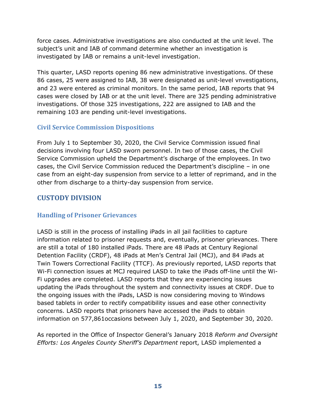force cases. Administrative investigations are also conducted at the unit level. The subject's unit and IAB of command determine whether an investigation is investigated by IAB or remains a unit-level investigation.

This quarter, LASD reports opening 86 new administrative investigations. Of these 86 cases, 25 were assigned to IAB, 38 were designated as unit-level vnvestigations, and 23 were entered as criminal monitors. In the same period, IAB reports that 94 cases were closed by IAB or at the unit level. There are 325 pending administrative investigations. Of those 325 investigations, 222 are assigned to IAB and the remaining 103 are pending unit-level investigations.

# <span id="page-16-0"></span>**Civil Service Commission Dispositions**

From July 1 to September 30, 2020, the Civil Service Commission issued final decisions involving four LASD sworn personnel. In two of those cases, the Civil Service Commission upheld the Department's discharge of the employees. In two cases, the Civil Service Commission reduced the Department's discipline – in one case from an eight-day suspension from service to a letter of reprimand, and in the other from discharge to a thirty-day suspension from service.

# <span id="page-16-1"></span>**CUSTODY DIVISION**

# <span id="page-16-2"></span>**Handling of Prisoner Grievances**

LASD is still in the process of installing iPads in all jail facilities to capture information related to prisoner requests and, eventually, prisoner grievances. There are still a total of 180 installed iPads. There are 48 iPads at Century Regional Detention Facility (CRDF), 48 iPads at Men's Central Jail (MCJ), and 84 iPads at Twin Towers Correctional Facility (TTCF). As previously reported, LASD reports that Wi-Fi connection issues at MCJ required LASD to take the iPads off-line until the Wi-Fi upgrades are completed. LASD reports that they are experiencing issues updating the iPads throughout the system and connectivity issues at CRDF. Due to the ongoing issues with the iPads, LASD is now considering moving to Windows based tablets in order to rectify compatibility issues and ease other connectivity concerns. LASD reports that prisoners have accessed the iPads to obtain information on 577,861occasions between July 1, 2020, and September 30, 2020.

As reported in the Office of Inspector General's January 2018 *Reform and Oversight Efforts: Los Angeles County Sheriff's Department* report, LASD implemented a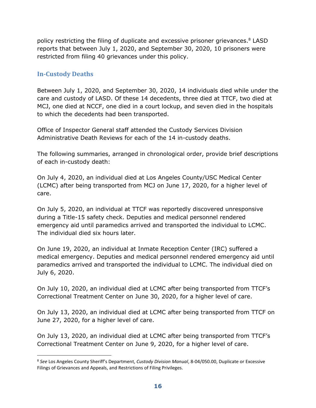policy restricting the filing of duplicate and excessive prisoner grievances.<sup>8</sup> LASD reports that between July 1, 2020, and September 30, 2020, 10 prisoners were restricted from filing 40 grievances under this policy.

# <span id="page-17-0"></span>**In-Custody Deaths**

Between July 1, 2020, and September 30, 2020, 14 individuals died while under the care and custody of LASD. Of these 14 decedents, three died at TTCF, two died at MCJ, one died at NCCF, one died in a court lockup, and seven died in the hospitals to which the decedents had been transported.

Office of Inspector General staff attended the Custody Services Division Administrative Death Reviews for each of the 14 in-custody deaths.

The following summaries, arranged in chronological order, provide brief descriptions of each in-custody death:

On July 4, 2020, an individual died at Los Angeles County/USC Medical Center (LCMC) after being transported from MCJ on June 17, 2020, for a higher level of care.

On July 5, 2020, an individual at TTCF was reportedly discovered unresponsive during a Title-15 safety check. Deputies and medical personnel rendered emergency aid until paramedics arrived and transported the individual to LCMC. The individual died six hours later.

On June 19, 2020, an individual at Inmate Reception Center (IRC) suffered a medical emergency. Deputies and medical personnel rendered emergency aid until paramedics arrived and transported the individual to LCMC. The individual died on July 6, 2020.

On July 10, 2020, an individual died at LCMC after being transported from TTCF's Correctional Treatment Center on June 30, 2020, for a higher level of care.

On July 13, 2020, an individual died at LCMC after being transported from TTCF on June 27, 2020, for a higher level of care.

On July 13, 2020, an individual died at LCMC after being transported from TTCF's Correctional Treatment Center on June 9, 2020, for a higher level of care.

<sup>8</sup> *See* Los Angeles County Sheriff's Department, *Custody Division Manual*, 8-04/050.00, Duplicate or Excessive Filings of Grievances and Appeals, and Restrictions of Filing Privileges.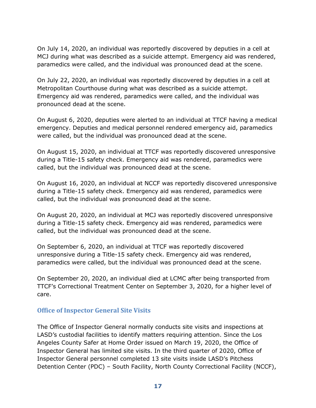On July 14, 2020, an individual was reportedly discovered by deputies in a cell at MCJ during what was described as a suicide attempt. Emergency aid was rendered, paramedics were called, and the individual was pronounced dead at the scene.

On July 22, 2020, an individual was reportedly discovered by deputies in a cell at Metropolitan Courthouse during what was described as a suicide attempt. Emergency aid was rendered, paramedics were called, and the individual was pronounced dead at the scene.

On August 6, 2020, deputies were alerted to an individual at TTCF having a medical emergency. Deputies and medical personnel rendered emergency aid, paramedics were called, but the individual was pronounced dead at the scene.

On August 15, 2020, an individual at TTCF was reportedly discovered unresponsive during a Title-15 safety check. Emergency aid was rendered, paramedics were called, but the individual was pronounced dead at the scene.

On August 16, 2020, an individual at NCCF was reportedly discovered unresponsive during a Title-15 safety check. Emergency aid was rendered, paramedics were called, but the individual was pronounced dead at the scene.

On August 20, 2020, an individual at MCJ was reportedly discovered unresponsive during a Title-15 safety check. Emergency aid was rendered, paramedics were called, but the individual was pronounced dead at the scene.

On September 6, 2020, an individual at TTCF was reportedly discovered unresponsive during a Title-15 safety check. Emergency aid was rendered, paramedics were called, but the individual was pronounced dead at the scene.

On September 20, 2020, an individual died at LCMC after being transported from TTCF's Correctional Treatment Center on September 3, 2020, for a higher level of care.

#### <span id="page-18-0"></span>**Office of Inspector General Site Visits**

The Office of Inspector General normally conducts site visits and inspections at LASD's custodial facilities to identify matters requiring attention. Since the Los Angeles County Safer at Home Order issued on March 19, 2020, the Office of Inspector General has limited site visits. In the third quarter of 2020, Office of Inspector General personnel completed 13 site visits inside LASD's Pitchess Detention Center (PDC) – South Facility, North County Correctional Facility (NCCF),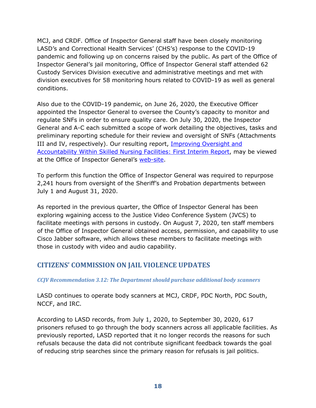MCJ, and CRDF. Office of Inspector General staff have been closely monitoring LASD's and Correctional Health Services' (CHS's) response to the COVID-19 pandemic and following up on concerns raised by the public. As part of the Office of Inspector General's jail monitoring, Office of Inspector General staff attended 62 Custody Services Division executive and administrative meetings and met with division executives for 58 monitoring hours related to COVID-19 as well as general conditions.

Also due to the COVID-19 pandemic, on June 26, 2020, the Executive Officer appointed the Inspector General to oversee the County's capacity to monitor and regulate SNFs in order to ensure quality care. On July 30, 2020, the Inspector General and A-C each submitted a scope of work detailing the objectives, tasks and preliminary reporting schedule for their review and oversight of SNFs (Attachments III and IV, respectively). Our resulting report, Improving Oversight and [Accountability Within Skilled Nursing Facilities: First Interim Report,](https://oig.lacounty.gov/Portals/OIG/Reports/SNF_First%20Interim%20Report_October%202020.pdf?ver=HTEjWd5zLRyRUN7vXxXMYw%3d%3d) may be viewed at the Office of Inspector General's [web-site.](https://oig.lacounty.gov/Portals/OIG/Reports/SNF_First%20Interim%20Report_October%202020.pdf?ver=HTEjWd5zLRyRUN7vXxXMYw%3d%3d)

To perform this function the Office of Inspector General was required to repurpose 2,241 hours from oversight of the Sheriff's and Probation departments between July 1 and August 31, 2020.

As reported in the previous quarter, the Office of Inspector General has been exploring wgaining access to the Justice Video Conference System (JVCS) to facilitate meetings with persons in custody. On August 7, 2020, ten staff members of the Office of Inspector General obtained access, permission, and capability to use Cisco Jabber software, which allows these members to facilitate meetings with those in custody with video and audio capability.

# **CITIZENS' COMMISSION ON JAIL VIOLENCE UPDATES**

#### *CCJV Recommendation 3.12: The Department should purchase additional body scanners*

LASD continues to operate body scanners at MCJ, CRDF, PDC North, PDC South, NCCF, and IRC.

According to LASD records, from July 1, 2020, to September 30, 2020, 617 prisoners refused to go through the body scanners across all applicable facilities. As previously reported, LASD reported that it no longer records the reasons for such refusals because the data did not contribute significant feedback towards the goal of reducing strip searches since the primary reason for refusals is jail politics.